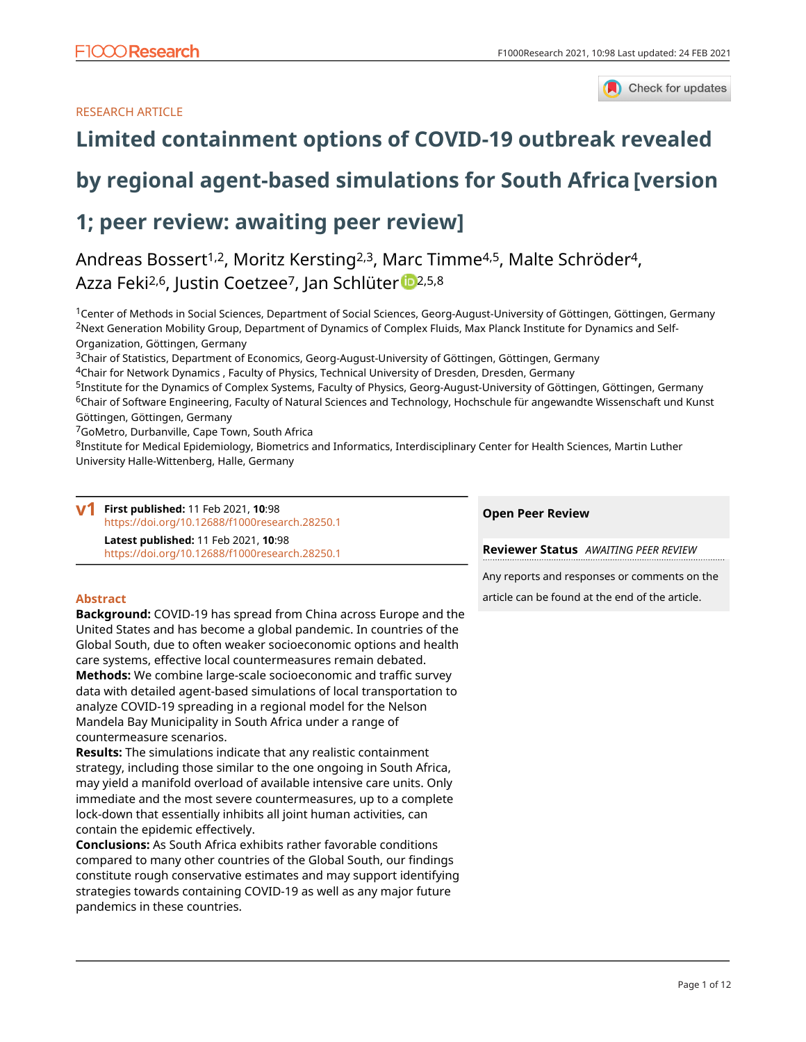# RESEARCH ARTICLE



# **[Limited containment options of COVID-19 outbreak revealed](https://f1000research.com/articles/10-98/v1)**

# **[by regional agent-based simulations for South Africa](https://f1000research.com/articles/10-98/v1) [version**

# **1; peer review: awaiting peer review]**

Andreas Bossert<sup>1,2</sup>, Moritz Kersting<sup>2,3</sup>, Marc Timme<sup>4,5</sup>, Malte Schröder<sup>4</sup>, Azza Feki<sup>2,6</sup>, Justin Coetzee<sup>7</sup>, Jan Schlüte[r](https://orcid.org/0000-0002-3363-8663) <sup>1</sup> 2,5,8

<sup>1</sup>Center of Methods in Social Sciences, Department of Social Sciences, Georg-August-University of Göttingen, Göttingen, Germany <sup>2</sup>Next Generation Mobility Group, Department of Dynamics of Complex Fluids, Max Planck Institute for Dynamics and Self-Organization, Göttingen, Germany

<sup>3</sup>Chair of Statistics, Department of Economics, Georg-August-University of Göttingen, Göttingen, Germany

<sup>4</sup>Chair for Network Dynamics , Faculty of Physics, Technical University of Dresden, Dresden, Germany

<sup>5</sup>Institute for the Dynamics of Complex Systems, Faculty of Physics, Georg-August-University of Göttingen, Göttingen, Germany <sup>6</sup>Chair of Software Engineering, Faculty of Natural Sciences and Technology, Hochschule für angewandte Wissenschaft und Kunst Göttingen, Göttingen, Germany

<sup>7</sup>GoMetro, Durbanville, Cape Town, South Africa

8Institute for Medical Epidemiology, Biometrics and Informatics, Interdisciplinary Center for Health Sciences, Martin Luther University Halle-Wittenberg, Halle, Germany

| $\mathsf{v} \mathsf{1}$ | First published: 11 Feb 2021, 10:98<br>https://doi.org/10.12688/f1000research.28250.1 |
|-------------------------|---------------------------------------------------------------------------------------|
|                         | Latest published: 11 Feb 2021, 10:98                                                  |
|                         | https://doi.org/10.12688/f1000research.28250.1                                        |

## **Abstract**

**Background:** COVID-19 has spread from China across Europe and the United States and has become a global pandemic. In countries of the Global South, due to often weaker socioeconomic options and health care systems, effective local countermeasures remain debated. **Methods:** We combine large-scale socioeconomic and traffic survey data with detailed agent-based simulations of local transportation to analyze COVID-19 spreading in a regional model for the Nelson Mandela Bay Municipality in South Africa under a range of countermeasure scenarios.

**Results:** The simulations indicate that any realistic containment strategy, including those similar to the one ongoing in South Africa, may yield a manifold overload of available intensive care units. Only immediate and the most severe countermeasures, up to a complete lock-down that essentially inhibits all joint human activities, can contain the epidemic effectively.

**Conclusions:** As South Africa exhibits rather favorable conditions compared to many other countries of the Global South, our findings constitute rough conservative estimates and may support identifying strategies towards containing COVID-19 as well as any major future pandemics in these countries.

## **Open Peer Review**

**Reviewer Status** *AWAITING PEER REVIEW*

Any reports and responses or comments on the

article can be found at the end of the article.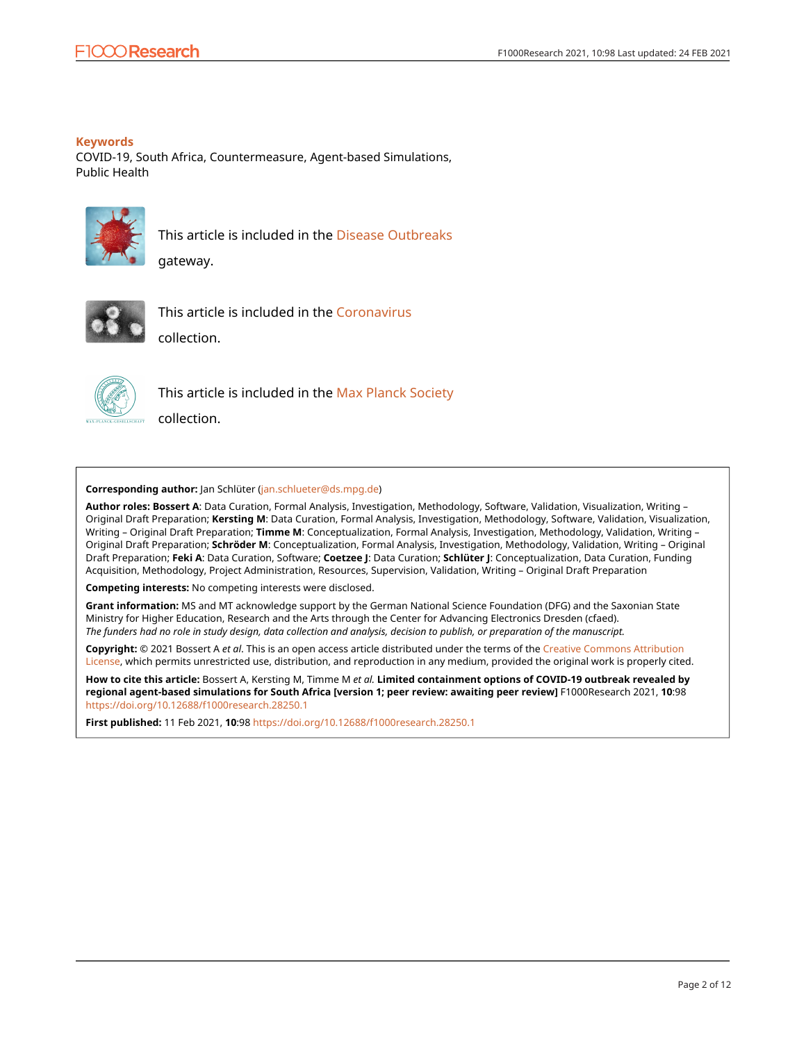# **Keywords**

COVID-19, South Africa, Countermeasure, Agent-based Simulations, Public Health



This article is included in the [Disease Outbreaks](https://f1000research.com/gateways/disease_outbreaks)

gateway.



This article is included in the [Coronavirus](https://f1000research.com/collections/covid19)

collection.



This article is included in the [Max Planck Society](https://f1000research.com/collections/maxplancksociety)

collection.

### **Corresponding author:** Jan Schlüter [\(jan.schlueter@ds.mpg.de\)](mailto:jan.schlueter@ds.mpg.de)

**Author roles: Bossert A**: Data Curation, Formal Analysis, Investigation, Methodology, Software, Validation, Visualization, Writing – Original Draft Preparation; **Kersting M**: Data Curation, Formal Analysis, Investigation, Methodology, Software, Validation, Visualization, Writing – Original Draft Preparation; **Timme M**: Conceptualization, Formal Analysis, Investigation, Methodology, Validation, Writing – Original Draft Preparation; **Schröder M**: Conceptualization, Formal Analysis, Investigation, Methodology, Validation, Writing – Original Draft Preparation; **Feki A**: Data Curation, Software; **Coetzee J**: Data Curation; **Schlüter J**: Conceptualization, Data Curation, Funding Acquisition, Methodology, Project Administration, Resources, Supervision, Validation, Writing – Original Draft Preparation

**Competing interests:** No competing interests were disclosed.

**Grant information:** MS and MT acknowledge support by the German National Science Foundation (DFG) and the Saxonian State Ministry for Higher Education, Research and the Arts through the Center for Advancing Electronics Dresden (cfaed). *The funders had no role in study design, data collection and analysis, decision to publish, or preparation of the manuscript.*

**Copyright:** © 2021 Bossert A *et al*. This is an open access article distributed under the terms of the [Creative Commons Attribution](http://creativecommons.org/licenses/by/4.0/) [License](http://creativecommons.org/licenses/by/4.0/), which permits unrestricted use, distribution, and reproduction in any medium, provided the original work is properly cited.

**How to cite this article:** Bossert A, Kersting M, Timme M *et al.* **Limited containment options of COVID-19 outbreak revealed by regional agent-based simulations for South Africa [version 1; peer review: awaiting peer review]** F1000Research 2021, **10**:98 <https://doi.org/10.12688/f1000research.28250.1>

**First published:** 11 Feb 2021, **10**:98<https://doi.org/10.12688/f1000research.28250.1>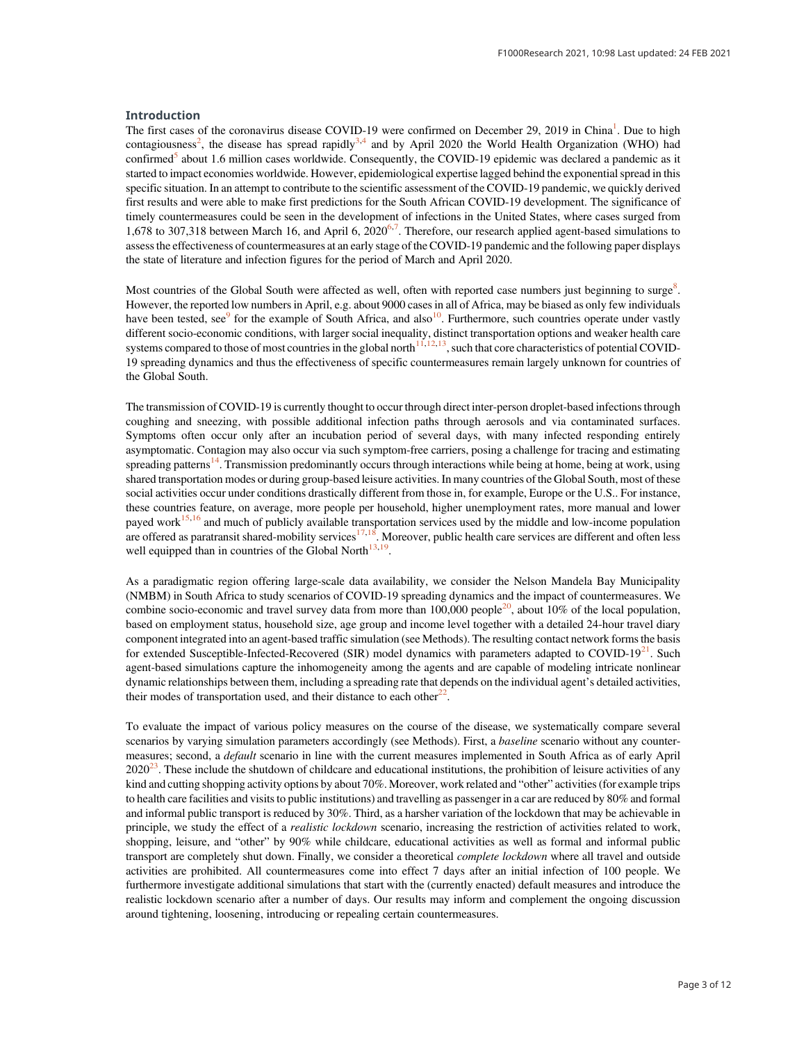#### Introduction

The first cases of the coronavirus disease COVID-19 were confirmed on December 29, 2019 in China<sup>1</sup>. Due to high contagiousness<sup>2</sup>, the disease has spread rapidly<sup>3,4</sup> and by April 2020 the World Health Organization (WHO) had confirmed<sup>5</sup> about 1.6 million cases worldwide. Consequently, the COVID-19 epidemic was declared a pandemic as it started to impact economies worldwide. However, epidemiological expertise lagged behind the exponential spread in this specific situation. In an attempt to contribute to the scientific assessment of the COVID-19 pandemic, we quickly derived first results and were able to make first predictions for the South African COVID-19 development. The significance of timely countermeasures could be seen in the development of infections in the United States, where cases surged from 1,678 to 307,318 between March 16, and April 6,  $2020^{6,7}$ . Therefore, our research applied agent-based simulations to assess the effectiveness of countermeasures at an early stage of the COVID-19 pandemic and the following paper displays the state of literature and infection figures for the period of March and April 2020.

Most countries of the Global South were affected as well, often with reported case numbers just beginning to surge<sup>8</sup>. However, the reported low numbers in April, e.g. about 9000 cases in all of Africa, may be biased as only few individuals have been tested, see $9$  for the example of South Africa, and also<sup>10</sup>. Furthermore, such countries operate under vastly different socio-economic conditions, with larger social inequality, distinct transportation options and weaker health care systems compared to those of most countries in the global north $11,12,13$ , such that core characteristics of potential COVID-19 spreading dynamics and thus the effectiveness of specific countermeasures remain largely unknown for countries of the Global South.

The transmission of COVID-19 is currently thought to occur through direct inter-person droplet-based infections through coughing and sneezing, with possible additional infection paths through aerosols and via contaminated surfaces. Symptoms often occur only after an incubation period of several days, with many infected responding entirely asymptomatic. Contagion may also occur via such symptom-free carriers, posing a challenge for tracing and estimating spreading patterns<sup>14</sup>. Transmission predominantly occurs through interactions while being at home, being at work, using shared transportation modes or during group-based leisure activities. In many countries of the Global South, most of these social activities occur under conditions drastically different from those in, for example, Europe or the U.S.. For instance, these countries feature, on average, more people per household, higher unemployment rates, more manual and lower payed work<sup>15,16</sup> and much of publicly available transportation services used by the middle and low-income population are offered as paratransit shared-mobility services<sup>17,18</sup>. Moreover, public health care services are different and often less well equipped than in countries of the Global North $13,19$ .

As a paradigmatic region offering large-scale data availability, we consider the Nelson Mandela Bay Municipality (NMBM) in South Africa to study scenarios of COVID-19 spreading dynamics and the impact of countermeasures. We combine socio-economic and travel survey data from more than 100,000 people<sup>20</sup>, about 10% of the local population, based on employment status, household size, age group and income level together with a detailed 24-hour travel diary component integrated into an agent-based traffic simulation (see Methods). The resulting contact network forms the basis for extended Susceptible-Infected-Recovered (SIR) model dynamics with parameters adapted to COVID-19<sup>21</sup>. Such agent-based simulations capture the inhomogeneity among the agents and are capable of modeling intricate nonlinear dynamic relationships between them, including a spreading rate that depends on the individual agent's detailed activities, their modes of transportation used, and their distance to each other<sup>22</sup>.

To evaluate the impact of various policy measures on the course of the disease, we systematically compare several scenarios by varying simulation parameters accordingly (see Methods). First, a baseline scenario without any countermeasures; second, a default scenario in line with the current measures implemented in South Africa as of early April  $2020^{23}$ . These include the shutdown of childcare and educational institutions, the prohibition of leisure activities of any kind and cutting shopping activity options by about 70%. Moreover, work related and "other" activities (for example trips to health care facilities and visits to public institutions) and travelling as passenger in a car are reduced by 80% and formal and informal public transport is reduced by 30%. Third, as a harsher variation of the lockdown that may be achievable in principle, we study the effect of a *realistic lockdown* scenario, increasing the restriction of activities related to work, shopping, leisure, and "other" by 90% while childcare, educational activities as well as formal and informal public transport are completely shut down. Finally, we consider a theoretical complete lockdown where all travel and outside activities are prohibited. All countermeasures come into effect 7 days after an initial infection of 100 people. We furthermore investigate additional simulations that start with the (currently enacted) default measures and introduce the realistic lockdown scenario after a number of days. Our results may inform and complement the ongoing discussion around tightening, loosening, introducing or repealing certain countermeasures.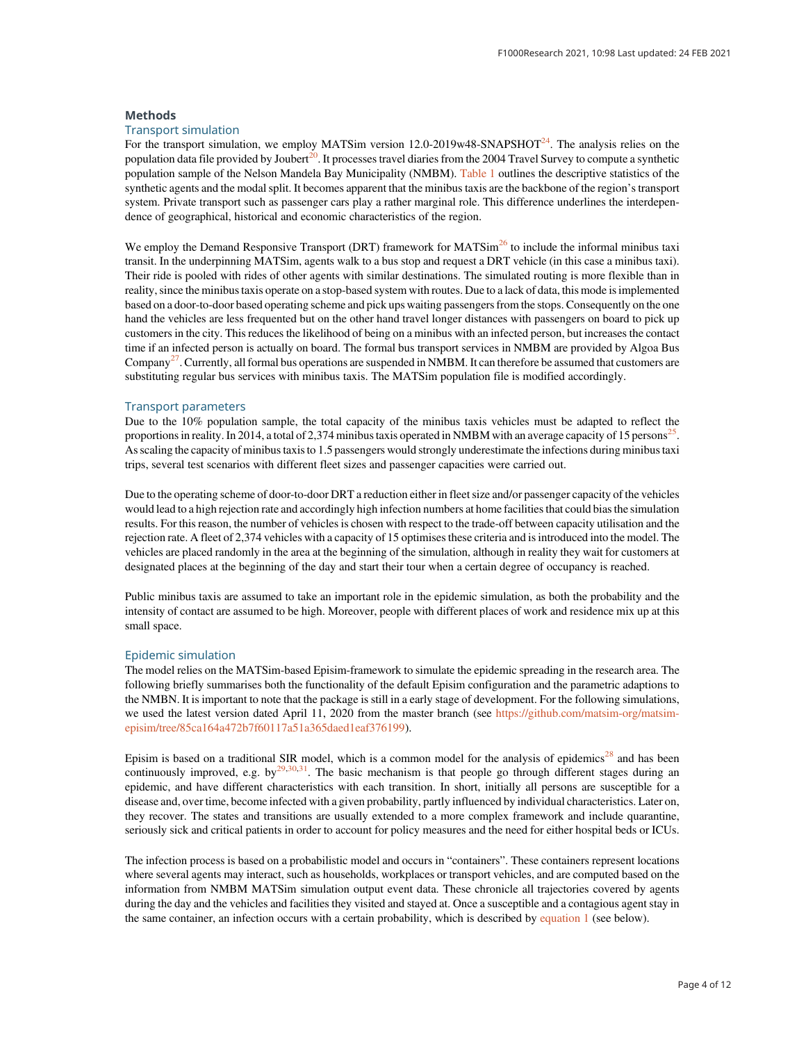#### Methods

#### Transport simulation

For the transport simulation, we employ MATSim version  $12.0$ -2019w48-SNAPSHOT $^{24}$ . The analysis relies on the population data file provided by Joubert<sup>20</sup>. It processes travel diaries from the 2004 Travel Survey to compute a synthetic population sample of the Nelson Mandela Bay Municipality (NMBM). Table 1 outlines the descriptive statistics of the synthetic agents and the modal split. It becomes apparent that the minibus taxis are the backbone of the region's transport system. Private transport such as passenger cars play a rather marginal role. This difference underlines the interdependence of geographical, historical and economic characteristics of the region.

We employ the Demand Responsive Transport (DRT) framework for MATSim<sup>26</sup> to include the informal minibus taxi transit. In the underpinning MATSim, agents walk to a bus stop and request a DRT vehicle (in this case a minibus taxi). Their ride is pooled with rides of other agents with similar destinations. The simulated routing is more flexible than in reality, since the minibus taxis operate on a stop-based system with routes. Due to a lack of data, this mode is implemented based on a door-to-door based operating scheme and pick ups waiting passengers from the stops. Consequently on the one hand the vehicles are less frequented but on the other hand travel longer distances with passengers on board to pick up customers in the city. This reduces the likelihood of being on a minibus with an infected person, but increases the contact time if an infected person is actually on board. The formal bus transport services in NMBM are provided by Algoa Bus Company<sup>27</sup>. Currently, all formal bus operations are suspended in NMBM. It can therefore be assumed that customers are substituting regular bus services with minibus taxis. The MATSim population file is modified accordingly.

#### Transport parameters

Due to the 10% population sample, the total capacity of the minibus taxis vehicles must be adapted to reflect the proportions in reality. In 2014, a total of 2,374 minibus taxis operated in NMBM with an average capacity of 15 persons<sup>25</sup>. As scaling the capacity of minibus taxis to 1.5 passengers would strongly underestimate the infections during minibus taxi trips, several test scenarios with different fleet sizes and passenger capacities were carried out.

Due to the operating scheme of door-to-door DRT a reduction either in fleet size and/or passenger capacity of the vehicles would lead to a high rejection rate and accordingly high infection numbers at home facilities that could bias the simulation results. For this reason, the number of vehicles is chosen with respect to the trade-off between capacity utilisation and the rejection rate. A fleet of 2,374 vehicles with a capacity of 15 optimises these criteria and is introduced into the model. The vehicles are placed randomly in the area at the beginning of the simulation, although in reality they wait for customers at designated places at the beginning of the day and start their tour when a certain degree of occupancy is reached.

Public minibus taxis are assumed to take an important role in the epidemic simulation, as both the probability and the intensity of contact are assumed to be high. Moreover, people with different places of work and residence mix up at this small space.

#### Epidemic simulation

The model relies on the MATSim-based Episim-framework to simulate the epidemic spreading in the research area. The following briefly summarises both the functionality of the default Episim configuration and the parametric adaptions to the NMBN. It is important to note that the package is still in a early stage of development. For the following simulations, we used the latest version dated April 11, 2020 from the master branch (see [https://github.com/matsim-org/matsim](https://github.com/matsim-org/matsim-episim/tree/85ca164a472b7f60117a51a365daed1eaf376199)[episim/tree/85ca164a472b7f60117a51a365daed1eaf376199\)](https://github.com/matsim-org/matsim-episim/tree/85ca164a472b7f60117a51a365daed1eaf376199).

Episim is based on a traditional SIR model, which is a common model for the analysis of epidemics<sup>28</sup> and has been continuously improved, e.g. by $29,30,31$ . The basic mechanism is that people go through different stages during an epidemic, and have different characteristics with each transition. In short, initially all persons are susceptible for a disease and, over time, become infected with a given probability, partly influenced by individual characteristics. Later on, they recover. The states and transitions are usually extended to a more complex framework and include quarantine, seriously sick and critical patients in order to account for policy measures and the need for either hospital beds or ICUs.

The infection process is based on a probabilistic model and occurs in "containers". These containers represent locations where several agents may interact, such as households, workplaces or transport vehicles, and are computed based on the information from NMBM MATSim simulation output event data. These chronicle all trajectories covered by agents during the day and the vehicles and facilities they visited and stayed at. Once a susceptible and a contagious agent stay in the same container, an infection occurs with a certain probability, which is described by equation 1 (see below).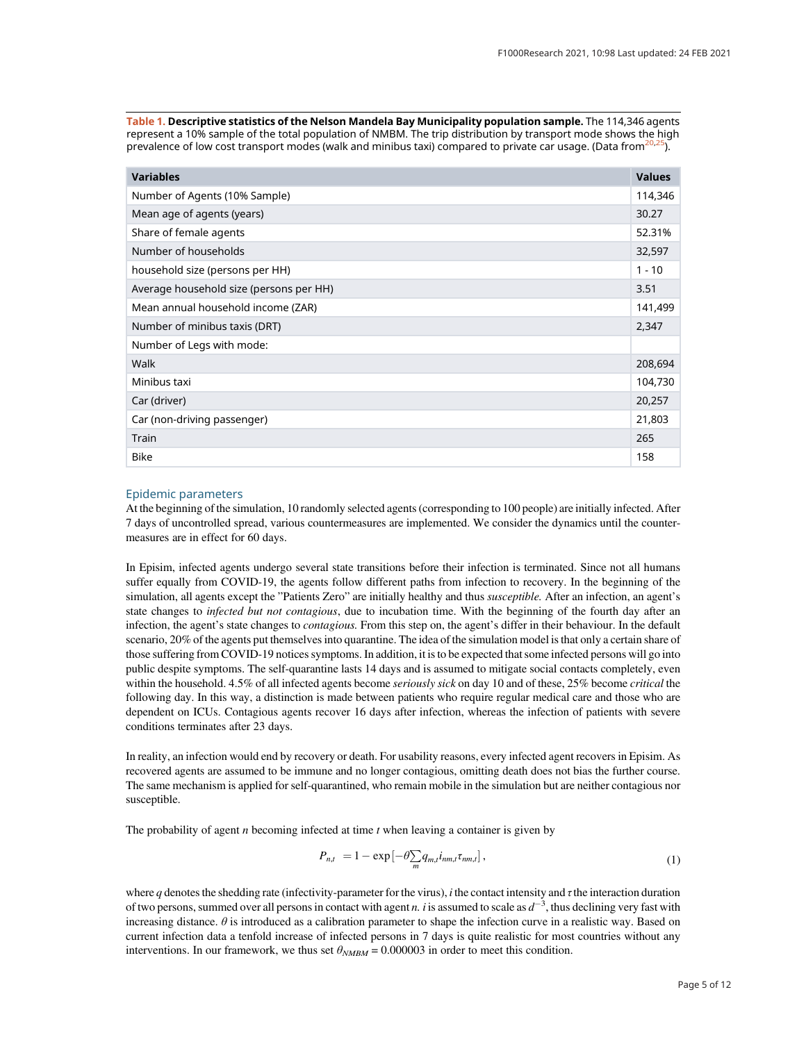Table 1. Descriptive statistics of the Nelson Mandela Bay Municipality population sample. The 114,346 agents represent a 10% sample of the total population of NMBM. The trip distribution by transport mode shows the high prevalence of low cost transport modes (walk and minibus taxi) compared to private car usage. (Data from $20,25$ ).

| <b>Variables</b>                        | <b>Values</b> |
|-----------------------------------------|---------------|
| Number of Agents (10% Sample)           | 114,346       |
| Mean age of agents (years)              | 30.27         |
| Share of female agents                  | 52.31%        |
| Number of households                    | 32,597        |
| household size (persons per HH)         | $1 - 10$      |
| Average household size (persons per HH) | 3.51          |
| Mean annual household income (ZAR)      | 141,499       |
| Number of minibus taxis (DRT)           | 2,347         |
| Number of Legs with mode:               |               |
| Walk                                    | 208,694       |
| Minibus taxi                            | 104,730       |
| Car (driver)                            | 20,257        |
| Car (non-driving passenger)             | 21,803        |
| Train                                   | 265           |
| <b>Bike</b>                             | 158           |

#### Epidemic parameters

At the beginning of the simulation, 10 randomly selected agents (corresponding to 100 people) are initially infected. After 7 days of uncontrolled spread, various countermeasures are implemented. We consider the dynamics until the countermeasures are in effect for 60 days.

In Episim, infected agents undergo several state transitions before their infection is terminated. Since not all humans suffer equally from COVID-19, the agents follow different paths from infection to recovery. In the beginning of the simulation, all agents except the "Patients Zero" are initially healthy and thus susceptible. After an infection, an agent's state changes to *infected but not contagious*, due to incubation time. With the beginning of the fourth day after an infection, the agent's state changes to *contagious*. From this step on, the agent's differ in their behaviour. In the default scenario, 20% of the agents put themselves into quarantine. The idea of the simulation model is that only a certain share of those suffering from COVID-19 notices symptoms. In addition, it is to be expected that some infected persons will go into public despite symptoms. The self-quarantine lasts 14 days and is assumed to mitigate social contacts completely, even within the household. 4.5% of all infected agents become *seriously sick* on day 10 and of these, 25% become *critical* the following day. In this way, a distinction is made between patients who require regular medical care and those who are dependent on ICUs. Contagious agents recover 16 days after infection, whereas the infection of patients with severe conditions terminates after 23 days.

In reality, an infection would end by recovery or death. For usability reasons, every infected agent recovers in Episim. As recovered agents are assumed to be immune and no longer contagious, omitting death does not bias the further course. The same mechanism is applied for self-quarantined, who remain mobile in the simulation but are neither contagious nor susceptible.

The probability of agent *n* becoming infected at time  $t$  when leaving a container is given by

$$
P_{n,t} = 1 - \exp\left[-\theta \sum_{m} q_{m,t} i_{nm,t} \tau_{nm,t}\right],\tag{1}
$$

where q denotes the shedding rate (infectivity-parameter for the virus), i the contact intensity and  $\tau$  the interaction duration of two persons, summed over all persons in contact with agent *n*. *i* is assumed to scale as  $d^{-3}$ , thus declining very fast with increasing distance.  $\theta$  is introduced as a calibration parameter to shape the infection curve in a realistic way. Based on current infection data a tenfold increase of infected persons in 7 days is quite realistic for most countries without any interventions. In our framework, we thus set  $\theta_{NMBM} = 0.000003$  in order to meet this condition.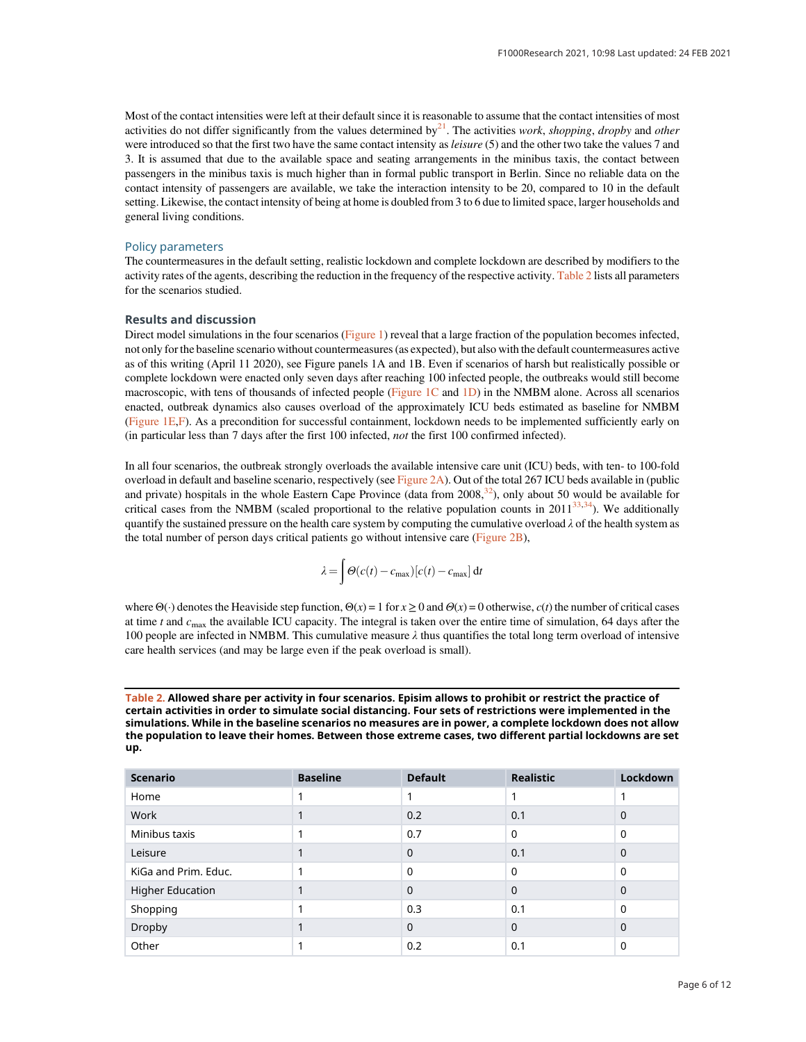Most of the contact intensities were left at their default since it is reasonable to assume that the contact intensities of most activities do not differ significantly from the values determined by $2<sup>1</sup>$ . The activities work, shopping, dropby and other were introduced so that the first two have the same contact intensity as *leisure* (5) and the other two take the values 7 and 3. It is assumed that due to the available space and seating arrangements in the minibus taxis, the contact between passengers in the minibus taxis is much higher than in formal public transport in Berlin. Since no reliable data on the contact intensity of passengers are available, we take the interaction intensity to be 20, compared to 10 in the default setting. Likewise, the contact intensity of being at home is doubled from 3 to 6 due to limited space, larger households and general living conditions.

#### Policy parameters

The countermeasures in the default setting, realistic lockdown and complete lockdown are described by modifiers to the activity rates of the agents, describing the reduction in the frequency of the respective activity. Table 2 lists all parameters for the scenarios studied.

### Results and discussion

Direct model simulations in the four scenarios (Figure 1) reveal that a large fraction of the population becomes infected, not only for the baseline scenario without countermeasures (as expected), but also with the default countermeasures active as of this writing (April 11 2020), see Figure panels 1A and 1B. Even if scenarios of harsh but realistically possible or complete lockdown were enacted only seven days after reaching 100 infected people, the outbreaks would still become macroscopic, with tens of thousands of infected people (Figure 1C and 1D) in the NMBM alone. Across all scenarios enacted, outbreak dynamics also causes overload of the approximately ICU beds estimated as baseline for NMBM (Figure 1E,F). As a precondition for successful containment, lockdown needs to be implemented sufficiently early on (in particular less than 7 days after the first 100 infected, not the first 100 confirmed infected).

In all four scenarios, the outbreak strongly overloads the available intensive care unit (ICU) beds, with ten- to 100-fold overload in default and baseline scenario, respectively (see Figure 2A). Out of the total 267 ICU beds available in (public and private) hospitals in the whole Eastern Cape Province (data from  $2008,^{32}$ ), only about 50 would be available for critical cases from the NMBM (scaled proportional to the relative population counts in  $2011^{33,34}$ ). We additionally quantify the sustained pressure on the health care system by computing the cumulative overload  $\lambda$  of the health system as the total number of person days critical patients go without intensive care (Figure 2B),

$$
\lambda = \int \Theta(c(t) - c_{\text{max}})[c(t) - c_{\text{max}}] dt
$$

where  $\Theta(\cdot)$  denotes the Heaviside step function,  $\Theta(x) = 1$  for  $x \ge 0$  and  $\Theta(x) = 0$  otherwise,  $c(t)$  the number of critical cases at time t and  $c_{\text{max}}$  the available ICU capacity. The integral is taken over the entire time of simulation, 64 days after the 100 people are infected in NMBM. This cumulative measure  $\lambda$  thus quantifies the total long term overload of intensive care health services (and may be large even if the peak overload is small).

Table 2. Allowed share per activity in four scenarios. Episim allows to prohibit or restrict the practice of certain activities in order to simulate social distancing. Four sets of restrictions were implemented in the simulations. While in the baseline scenarios no measures are in power, a complete lockdown does not allow the population to leave their homes. Between those extreme cases, two different partial lockdowns are set up.

| <b>Scenario</b>         | <b>Baseline</b> | <b>Default</b> | <b>Realistic</b> | <b>Lockdown</b> |
|-------------------------|-----------------|----------------|------------------|-----------------|
| Home                    |                 |                |                  |                 |
| Work                    |                 | 0.2            | 0.1              | $\Omega$        |
| Minibus taxis           |                 | 0.7            | $\mathbf 0$      | $\Omega$        |
| Leisure                 |                 | 0              | 0.1              | $\Omega$        |
| KiGa and Prim. Educ.    |                 | $\Omega$       | $\Omega$         | 0               |
| <b>Higher Education</b> |                 | 0              | 0                | $\Omega$        |
| Shopping                |                 | 0.3            | 0.1              | $\Omega$        |
| Dropby                  |                 | 0              | 0                | $\Omega$        |
| Other                   |                 | 0.2            | 0.1              | 0               |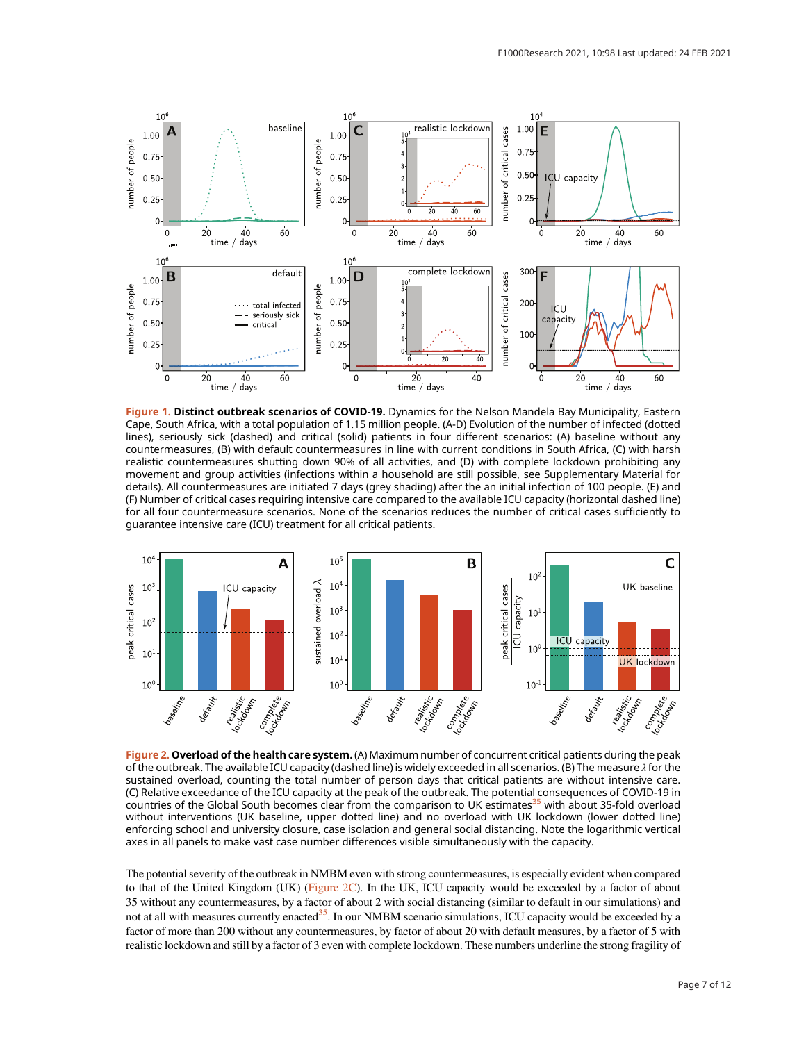

Figure 1. Distinct outbreak scenarios of COVID-19. Dynamics for the Nelson Mandela Bay Municipality, Eastern Cape, South Africa, with a total population of 1.15 million people. (A-D) Evolution of the number of infected (dotted lines), seriously sick (dashed) and critical (solid) patients in four different scenarios: (A) baseline without any countermeasures, (B) with default countermeasures in line with current conditions in South Africa, (C) with harsh realistic countermeasures shutting down 90% of all activities, and (D) with complete lockdown prohibiting any movement and group activities (infections within a household are still possible, see Supplementary Material for details). All countermeasures are initiated 7 days (grey shading) after the an initial infection of 100 people. (E) and (F) Number of critical cases requiring intensive care compared to the available ICU capacity (horizontal dashed line) for all four countermeasure scenarios. None of the scenarios reduces the number of critical cases sufficiently to guarantee intensive care (ICU) treatment for all critical patients.



Figure 2. Overload of the health care system. (A) Maximum number of concurrent critical patients during the peak of the outbreak. The available ICU capacity (dashed line) is widely exceeded in all scenarios. (B) The measure λ for the sustained overload, counting the total number of person days that critical patients are without intensive care. (C) Relative exceedance of the ICU capacity at the peak of the outbreak. The potential consequences of COVID-19 in countries of the Global South becomes clear from the comparison to UK estimates<sup>35</sup> with about 35-fold overload without interventions (UK baseline, upper dotted line) and no overload with UK lockdown (lower dotted line) enforcing school and university closure, case isolation and general social distancing. Note the logarithmic vertical axes in all panels to make vast case number differences visible simultaneously with the capacity.

The potential severity of the outbreak in NMBM even with strong countermeasures, is especially evident when compared to that of the United Kingdom (UK) (Figure 2C). In the UK, ICU capacity would be exceeded by a factor of about 35 without any countermeasures, by a factor of about 2 with social distancing (similar to default in our simulations) and not at all with measures currently enacted<sup>35</sup>. In our NMBM scenario simulations, ICU capacity would be exceeded by a factor of more than 200 without any countermeasures, by factor of about 20 with default measures, by a factor of 5 with realistic lockdown and still by a factor of 3 even with complete lockdown. These numbers underline the strong fragility of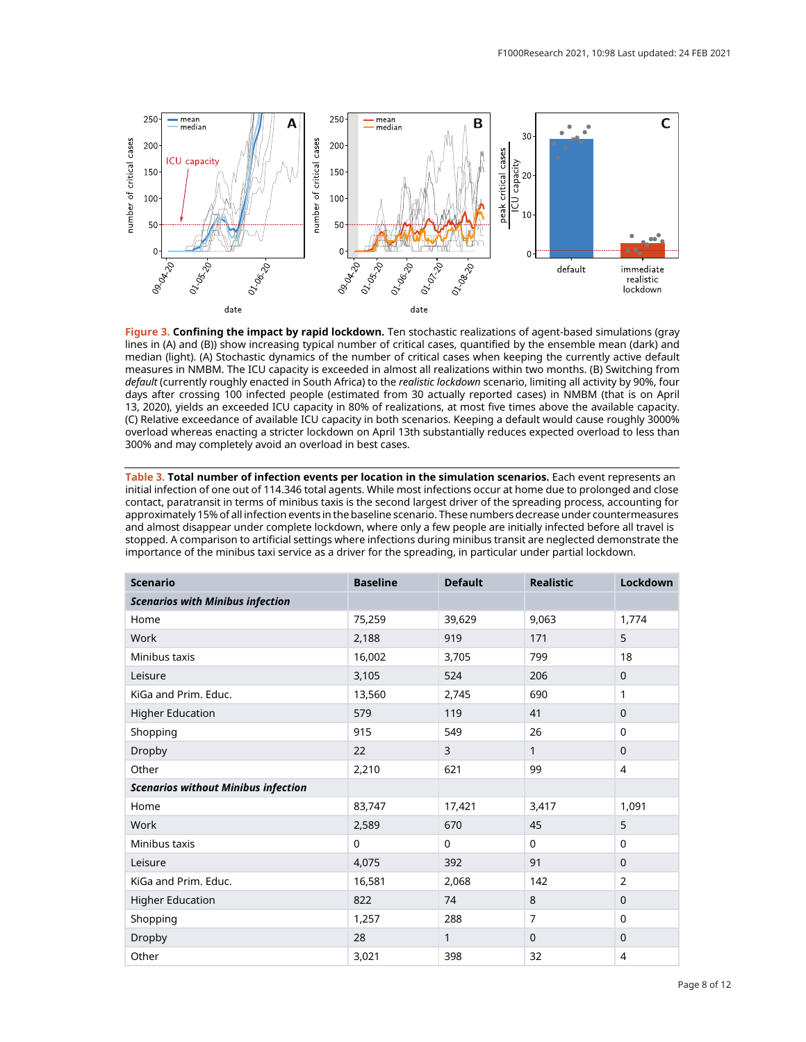

Figure 3. Confining the impact by rapid lockdown. Ten stochastic realizations of agent-based simulations (gray lines in (A) and (B)) show increasing typical number of critical cases, quantified by the ensemble mean (dark) and median (light). (A) Stochastic dynamics of the number of critical cases when keeping the currently active default measures in NMBM. The ICU capacity is exceeded in almost all realizations within two months. (B) Switching from default (currently roughly enacted in South Africa) to the realistic lockdown scenario, limiting all activity by 90%, four days after crossing 100 infected people (estimated from 30 actually reported cases) in NMBM (that is on April 13, 2020), yields an exceeded ICU capacity in 80% of realizations, at most five times above the available capacity. (C) Relative exceedance of available ICU capacity in both scenarios. Keeping a default would cause roughly 3000% overload whereas enacting a stricter lockdown on April 13th substantially reduces expected overload to less than 300% and may completely avoid an overload in best cases.

Table 3. Total number of infection events per location in the simulation scenarios. Each event represents an initial infection of one out of 114.346 total agents. While most infections occur at home due to prolonged and close contact, paratransit in terms of minibus taxis is the second largest driver of the spreading process, accounting for approximately 15% of all infection events in the baseline scenario. These numbers decrease under countermeasures and almost disappear under complete lockdown, where only a few people are initially infected before all travel is stopped. A comparison to artificial settings where infections during minibus transit are neglected demonstrate the importance of the minibus taxi service as a driver for the spreading, in particular under partial lockdown.

| <b>Scenario</b>                            | <b>Baseline</b> | <b>Default</b> | <b>Realistic</b> | Lockdown       |
|--------------------------------------------|-----------------|----------------|------------------|----------------|
| <b>Scenarios with Minibus infection</b>    |                 |                |                  |                |
| Home                                       | 75,259          | 39,629         | 9.063            | 1,774          |
| Work                                       | 2,188           | 919            | 171              | 5              |
| Minibus taxis                              | 16,002          | 3,705          | 799              | 18             |
| Leisure                                    | 3,105           | 524            | 206              | $\mathbf 0$    |
| KiGa and Prim. Educ.                       | 13,560          | 2,745          | 690              | 1              |
| <b>Higher Education</b>                    | 579             | 119            | 41               | 0              |
| Shopping                                   | 915             | 549            | 26               | 0              |
| Dropby                                     | 22              | 3              | 1                | $\mathbf 0$    |
| Other                                      | 2,210           | 621            | 99               | $\overline{4}$ |
| <b>Scenarios without Minibus infection</b> |                 |                |                  |                |
| Home                                       | 83,747          | 17,421         | 3,417            | 1,091          |
| Work                                       | 2,589           | 670            | 45               | 5              |
| Minibus taxis                              | 0               | $\mathbf 0$    | $\mathbf 0$      | 0              |
| Leisure                                    | 4,075           | 392            | 91               | $\Omega$       |
| KiGa and Prim. Educ.                       | 16,581          | 2,068          | 142              | $\overline{2}$ |
| <b>Higher Education</b>                    | 822             | 74             | 8                | $\mathbf 0$    |
| Shopping                                   | 1,257           | 288            | $\overline{7}$   | 0              |
| Dropby                                     | 28              | $\mathbf{1}$   | $\mathbf 0$      | 0              |
| Other                                      | 3,021           | 398            | 32               | $\overline{4}$ |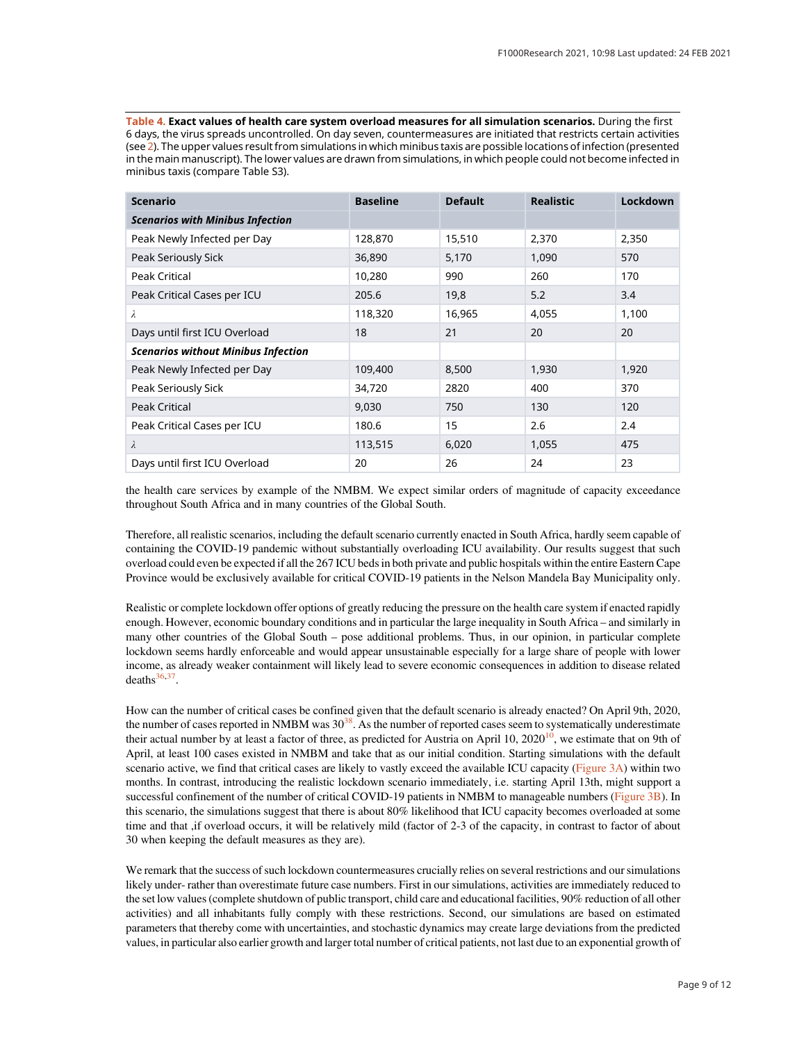Table 4. Exact values of health care system overload measures for all simulation scenarios. During the first 6 days, the virus spreads uncontrolled. On day seven, countermeasures are initiated that restricts certain activities (see 2). The upper values result from simulations in which minibus taxis are possible locations of infection (presented in the main manuscript). The lower values are drawn from simulations, in which people could not become infected in minibus taxis (compare Table S3).

| <b>Scenario</b>                            | <b>Baseline</b> | <b>Default</b> | <b>Realistic</b> | Lockdown |
|--------------------------------------------|-----------------|----------------|------------------|----------|
| <b>Scenarios with Minibus Infection</b>    |                 |                |                  |          |
| Peak Newly Infected per Day                | 128,870         | 15,510         | 2,370            | 2,350    |
| Peak Seriously Sick                        | 36,890          | 5,170          | 1,090            | 570      |
| Peak Critical                              | 10,280          | 990            | 260              | 170      |
| Peak Critical Cases per ICU                | 205.6           | 19,8           | 5.2              | 3.4      |
| $\lambda$                                  | 118,320         | 16,965         | 4,055            | 1,100    |
| Days until first ICU Overload              | 18              | 21             | 20               | 20       |
| <b>Scenarios without Minibus Infection</b> |                 |                |                  |          |
| Peak Newly Infected per Day                | 109,400         | 8,500          | 1,930            | 1,920    |
| Peak Seriously Sick                        | 34,720          | 2820           | 400              | 370      |
| Peak Critical                              | 9,030           | 750            | 130              | 120      |
| Peak Critical Cases per ICU                | 180.6           | 15             | 2.6              | 2.4      |
| $\lambda$                                  | 113,515         | 6,020          | 1,055            | 475      |
| Days until first ICU Overload              | 20              | 26             | 24               | 23       |

the health care services by example of the NMBM. We expect similar orders of magnitude of capacity exceedance throughout South Africa and in many countries of the Global South.

Therefore, all realistic scenarios, including the default scenario currently enacted in South Africa, hardly seem capable of containing the COVID-19 pandemic without substantially overloading ICU availability. Our results suggest that such overload could even be expected if all the 267 ICU beds in both private and public hospitals within the entire Eastern Cape Province would be exclusively available for critical COVID-19 patients in the Nelson Mandela Bay Municipality only.

Realistic or complete lockdown offer options of greatly reducing the pressure on the health care system if enacted rapidly enough. However, economic boundary conditions and in particular the large inequality in South Africa – and similarly in many other countries of the Global South – pose additional problems. Thus, in our opinion, in particular complete lockdown seems hardly enforceable and would appear unsustainable especially for a large share of people with lower income, as already weaker containment will likely lead to severe economic consequences in addition to disease related  $deaths<sup>36,37</sup>$ .

How can the number of critical cases be confined given that the default scenario is already enacted? On April 9th, 2020, the number of cases reported in NMBM was  $30<sup>38</sup>$ . As the number of reported cases seem to systematically underestimate their actual number by at least a factor of three, as predicted for Austria on April 10,  $2020^{10}$ , we estimate that on 9th of April, at least 100 cases existed in NMBM and take that as our initial condition. Starting simulations with the default scenario active, we find that critical cases are likely to vastly exceed the available ICU capacity (Figure 3A) within two months. In contrast, introducing the realistic lockdown scenario immediately, i.e. starting April 13th, might support a successful confinement of the number of critical COVID-19 patients in NMBM to manageable numbers (Figure 3B). In this scenario, the simulations suggest that there is about 80% likelihood that ICU capacity becomes overloaded at some time and that ,if overload occurs, it will be relatively mild (factor of 2-3 of the capacity, in contrast to factor of about 30 when keeping the default measures as they are).

We remark that the success of such lockdown countermeasures crucially relies on several restrictions and our simulations likely under- rather than overestimate future case numbers. First in our simulations, activities are immediately reduced to the set low values (complete shutdown of public transport, child care and educational facilities, 90% reduction of all other activities) and all inhabitants fully comply with these restrictions. Second, our simulations are based on estimated parameters that thereby come with uncertainties, and stochastic dynamics may create large deviations from the predicted values, in particular also earlier growth and larger total number of critical patients, not last due to an exponential growth of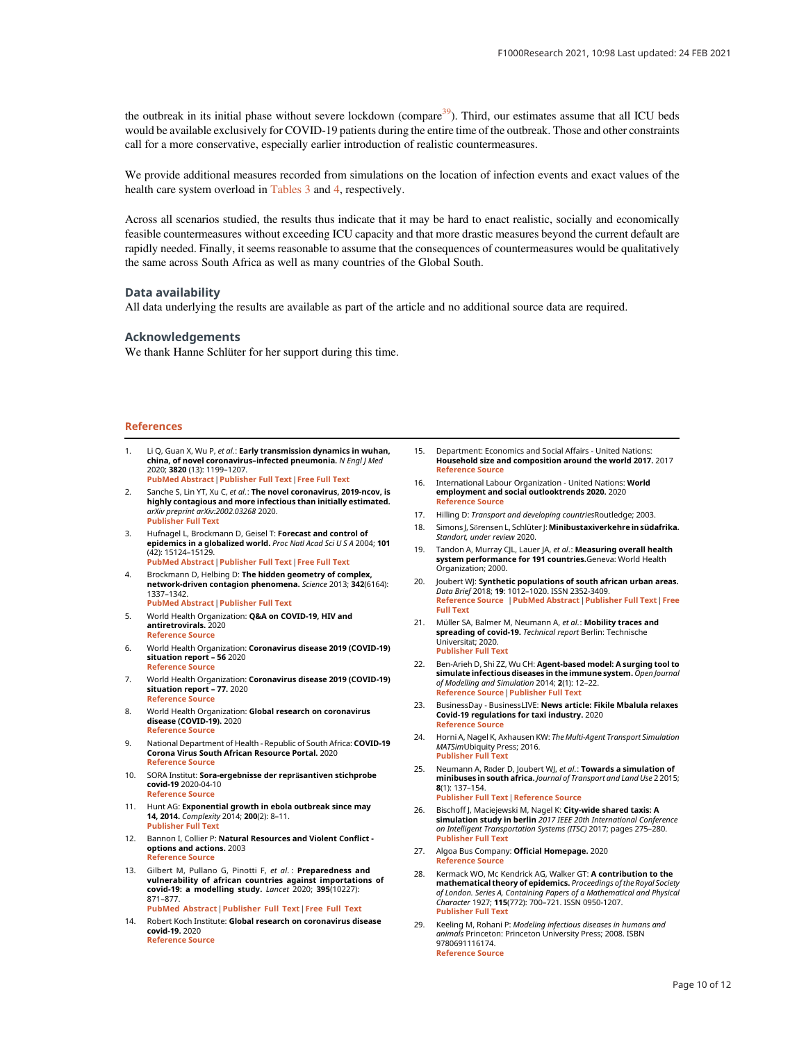the outbreak in its initial phase without severe lockdown (compare $39$ ). Third, our estimates assume that all ICU beds would be available exclusively for COVID-19 patients during the entire time of the outbreak. Those and other constraints call for a more conservative, especially earlier introduction of realistic countermeasures.

We provide additional measures recorded from simulations on the location of infection events and exact values of the health care system overload in Tables 3 and 4, respectively.

Across all scenarios studied, the results thus indicate that it may be hard to enact realistic, socially and economically feasible countermeasures without exceeding ICU capacity and that more drastic measures beyond the current default are rapidly needed. Finally, it seems reasonable to assume that the consequences of countermeasures would be qualitatively the same across South Africa as well as many countries of the Global South.

#### Data availability

All data underlying the results are available as part of the article and no additional source data are required.

#### Acknowledgements

We thank Hanne Schlüter for her support during this time.

#### References

- Li Q, Guan X, Wu P, et al.: Early transmission dynamics in wuhan, **china, of novel coronavirus–infected pneumonia.** *N Engl J Med*<br>2020; **3820** (13): 1199–1207. [PubMed Abstract](http://www.ncbi.nlm.nih.gov/pubmed/31995857)[|](https://doi.org/10.1056/NEJMoa2001316)[Publisher Full Text](https://doi.org/10.1056/NEJMoa2001316)[|](http://www.ncbi.nlm.nih.gov/pmc/articles/PMC7121484)[Free Full Text](http://www.ncbi.nlm.nih.gov/pmc/articles/PMC7121484)
- Sanche S, Lin YT, Xu C, et al.: The novel coronavirus, 2019-ncov, is highly contagious and more infectious than initially estimated. arXiv preprint arXiv:2002.03268 2020. [Publisher Full Text](https://doi.org/10.1101/2020.02.07.20021154)
- 3. Hufnagel L, Brockmann D, Geisel T: Forecast and control of epidemics in a globalized world. Proc Natl Acad Sci U S A 2004: 101 (42): 15124–15129. [PubMed Abstract](http://www.ncbi.nlm.nih.gov/pubmed/15477600)[|](https://doi.org/10.1073/pnas.0308344101)[Publisher Full Text](https://doi.org/10.1073/pnas.0308344101)[|](http://www.ncbi.nlm.nih.gov/pmc/articles/PMC524041)[Free Full Text](http://www.ncbi.nlm.nih.gov/pmc/articles/PMC524041)
- 4. Brockmann D, Helbing D: The hidden geometry of complex, network-driven contagion phenomena. Science 2013; 342(6164): 1337–1342. [PubMed Abstract](http://www.ncbi.nlm.nih.gov/pubmed/24337289)[|](https://doi.org/10.1126/science.1245200)[Publisher Full Text](https://doi.org/10.1126/science.1245200)
- 5. World Health Organization: Q&A on COVID-19, HIV and antiretrovirals. 2020 [Reference Source](https://www.who.int/news-room/q-a-detail/q-a-on-covid-19-hiv-and-antiretrovirals)
- 6. World Health Organization: Coronavirus disease 2019 (COVID-19) situation report 56 2020 [Reference Source](https://www.who.int/docs/default-source/coronaviruse/situation-reports/20200316-sitrep-56-covid-19.pdf?sfvrsn=9fda7db2_6)
- 7. World Health Organization: Coronavirus disease 2019 (COVID-19) situation report – 77. 202[0](https://www.who.int/docs/default-source/coronaviruse/situation-reports/20200406-sitrep-77-covid-19.pdf?sfvrsn=21d1e632_2) [Reference Source](https://www.who.int/docs/default-source/coronaviruse/situation-reports/20200406-sitrep-77-covid-19.pdf?sfvrsn=21d1e632_2)
- 8. World Health Organization: Global research on coronavirus disease (COVID-19). 2020 [Reference Source](https://www.who.int/emergencies/diseases/novel-coronavirus-2019/global-research-on-novel-coronavirus-2019-ncov)
- 9. National Department of Health Republic of South Africa: COVID-19 Corona Virus South African Resource Portal. 2020 [Reference Source](https://sacoronavirus.co.za/)
- 10. SORA Institut: Sora-ergebnisse der repräsantiven stichprobe covid-19 2020-04-1[0](https://www.sora.at/nc/news-presse/news/news-einzelansicht/news/covid-19-praevalenz-1006.html) [Reference Source](https://www.sora.at/nc/news-presse/news/news-einzelansicht/news/covid-19-praevalenz-1006.html)
- 11. Hunt AG: Exponential growth in ebola outbreak since may 14, 2014. Complexity 2014; 200(2): 8–11. [Publisher Full Text](https://doi.org/10.1002/cplx.21615)
- 12. Bannon I, Collier P: Natural Resources and Violent Conflict options and actions. 2003 eference Source
- 13. Gilbert M, Pullano G, Pinotti F, et al.: Preparedness and vulnerability of african countries against importations of<br>covid-19: a modelling study. *Lancet* 2020; 395(10227): 871–877. [PubMed Abstract](http://www.ncbi.nlm.nih.gov/pubmed/32087820)[|](https://doi.org/10.1016/S0140-6736(20)30411-6)[Publisher Full Text](https://doi.org/10.1016/S0140-6736(20)30411-6)[|](http://www.ncbi.nlm.nih.gov/pmc/articles/PMC7159277)[Free Full Text](http://www.ncbi.nlm.nih.gov/pmc/articles/PMC7159277)
- 14. Robert Koch Institute: Global research on coronavirus disease covid-19. 2020 [Reference Source](https://www.rki.de/DE/Content/InfAZ/N/Neuartiges_Coronavirus/Steckbrief.html)
- 15. Department: Economics and Social Affairs United Nations: Household size and composition around the world 2017. 2017 [Reference Source](https://www.un.org/en/development/desa/population/publications/pdf/ageing/household_size_and_composition_around_the_world_2017_data_booklet.pdf)
- 16. International Labour Organization United Nations: World employment and social outlooktrends 2020. 2020 [Reference Source](https://www.ilo.org/wcmsp5/groups/public/---dgreports/---dcomm/---publ/documents/publication/wcms_734455.pdf)
- 17. Hilling D: Transport and developing countries Routledge; 2003.
- 18. Simons J, Sörensen L, Schlüter J: Minibustaxiverkehre in südafrika. Standort, under review 2020.
- 19. Tandon A, Murray CIL, Lauer IA, et al.: Measuring overall health system performance for 191 countries.Geneva: World Health Organization; 2000.
- 20. Joubert WJ: Synthetic populations of south african urban areas. Data Brief 2018; 19: 1012–1020. ISSN 2352-3409. [Reference Source](http://www.sciencedirect.com/science/article/pii/S2352340918306322) [|](http://www.ncbi.nlm.nih.gov/pubmed/29900398)[PubMed Abstract](http://www.ncbi.nlm.nih.gov/pubmed/29900398)[|](https://doi.org/10.1016/j.dib.2018.05.126)[Publisher Full Text](https://doi.org/10.1016/j.dib.2018.05.126)[|](http://www.ncbi.nlm.nih.gov/pmc/articles/PMC5997964)[Free](http://www.ncbi.nlm.nih.gov/pmc/articles/PMC5997964) [Full Text](http://www.ncbi.nlm.nih.gov/pmc/articles/PMC5997964)
- 21. Müller SA, Balmer M, Neumann A, et al.: Mobility traces and spreading of covid-19. Technical report Berlin: Technische Universität; 2020. [Publisher Full Text](https://doi.org/10.14279/depositonce-9835)
- 22. Ben-Arieh D, Shi ZZ, Wu CH: Agent-based model: A surging tool to simulate infectious diseases in the immune system. Open Journal of Modelling and Simulation 2014; 2(1): 12–22. [Reference Source](https://www.scirp.org/journal/paperinformation.aspx?paperid=42403)[|](https://doi.org/10.4236/ojmsi.2014.21004)[Publisher Full Text](https://doi.org/10.4236/ojmsi.2014.21004)
- 23. BusinessDay BusinessLIVE: News article: Fikile Mbalula relaxes Covid-19 regulations for taxi industry. 202[0](https://www.businesslive.co.za/bd/national/2020-04-01-fikile-mbalula-relaxes-covid-19-regulations-for-taxi-industry/) [Reference Source](https://www.businesslive.co.za/bd/national/2020-04-01-fikile-mbalula-relaxes-covid-19-regulations-for-taxi-industry/)
- 24. Horni A, Nagel K, Axhausen KW: The Multi-Agent Transport Simulation MATSimUbiquity Press; 2016. [Publisher Full Text](https://doi.org/10.5334/baw)
- 25. Neumann A, Röder D, Joubert WJ, et al.: Towards a simulation of minibuses in south africa. Journal of Transport and Land Use 2 2015; 8(1): 137–154. [Publisher Full Text](https://doi.org/10.5198/jtlu.2015.390) [|](https://www.jtlu.org/index.php/jtlu/article/view/390) [Reference Source](https://www.jtlu.org/index.php/jtlu/article/view/390)
- 26. Bischoff J, Maciejewski M, Nagel K: City-wide shared taxis: A simulation study in berlin 2017 IEEE 20th International Conference on Intelligent Transportation Systems (ITSC) 2017; pages 275–280. [Publisher Full Text](https://doi.org/10.1109/ITSC.2017.8317926)
- 27. Algoa Bus Company: Official Homepage. 2[0](https://www.algoabus.co.za/)20 [Reference Source](https://www.algoabus.co.za/)
- 28. Kermack WO, Mc Kendrick AG, Walker GT: A contribution to the mathematical theory of epidemics. Proceedings of the Royal Society of London. Series A, Containing Papers of a Mathematical and Physical Character 1927; 115(772): 700–721. ISSN 0950-1207. [Publisher Full Text](https://doi.org/10.1098/rspa.1927.0118)
- 29. Keeling M, Rohani P: Modeling infectious diseases in humans and animals Princeton: Princeton University Press; 2008. ISBN 9780691116174. [Reference Source](https://ebookcentral.proquest.com/lib/gbv/detail.action?docID=769616)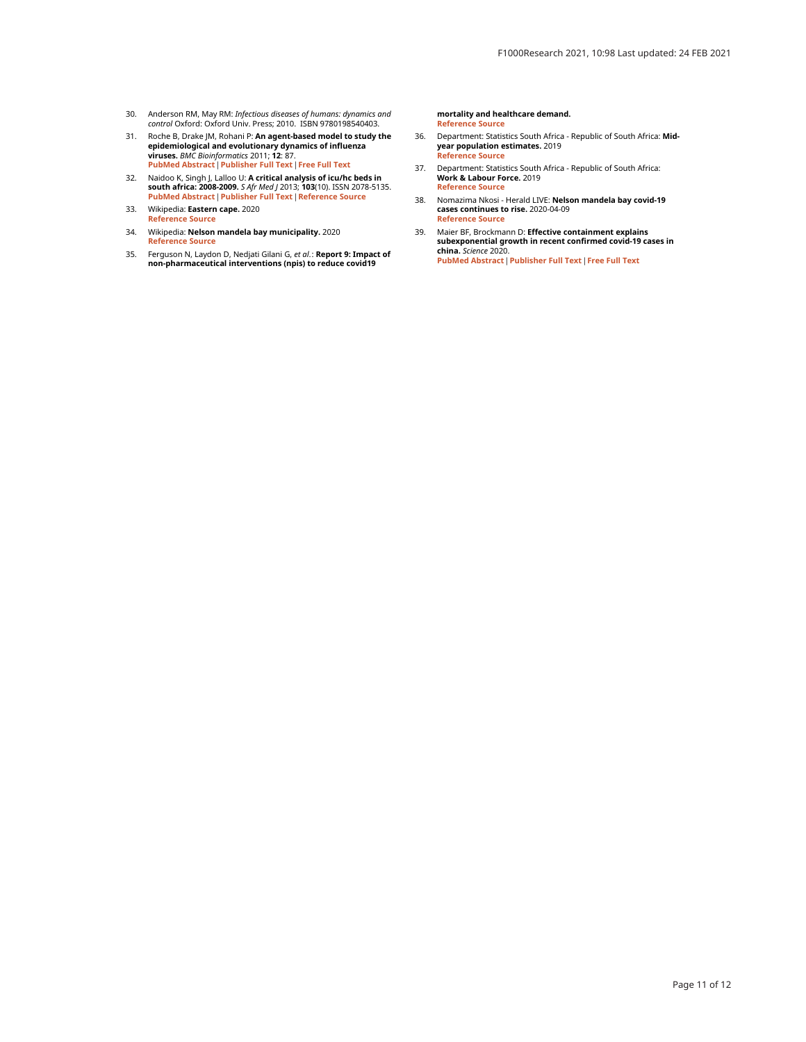- 30. Anderson RM, May RM: *Infectious diseases of humans: dynamics and*<br>c*ontrol Ox*ford: Oxford Univ. Press; 2010. ISBN 9780198540403.
- 31. Roche B, Drake JM, Rohani P: An agent-based model to study the epidemiological and evolutionary dynamics of influenza viruses. *BMC Bioinformatics 2*011; **12**: 87.<br><mark>[PubMed Abstract](http://www.ncbi.nlm.nih.gov/pubmed/21450071) [|](http://www.ncbi.nlm.nih.gov/pmc/articles/PMC3078862) [Publisher Full Text](https://doi.org/10.1186/1471-2105-12-87) | [Free Full Text](http://www.ncbi.nlm.nih.gov/pmc/articles/PMC3078862)</mark>
- 32. Naidoo K, Singh J, Lalloo U: A critical analysis of icu/hc beds in south africa: 2008-2009. *S Afr Med J* 2013; 103(10). ISSN 2078-5135.<br><mark>[PubMed Abstract](http://www.ncbi.nlm.nih.gov/pubmed/24079628) [|](http://www.samj.org.za/index.php/samj/article/view/6415) [Publisher Full Text](https://doi.org/10.7196/samj.6415) | [Reference Source](http://www.samj.org.za/index.php/samj/article/view/6415)</mark>
- 33. Wikipedia: Eastern cape. 202[0](https://en.wikipedia.org/wiki/Eastern_Cape) [Reference Source](https://en.wikipedia.org/wiki/Eastern_Cape)
- 34. Wikipedia: Nelson mandela bay municipality. 2020 [Reference Source](https://de.wikipedia.org/wiki/Nelson_Mandela_Bay_Municipality)
- 35. Ferguson N, Laydon D, Nedjati Gilani G, *et αl*.: **Report 9: Impact of**<br>**non-pharmaceutical interventions (npis) to reduce covid19**

mortality and healthcare demand. [Reference Source](https://www.imperial.ac.uk/mrc-global-infectious-disease-analysis/covid-19/report-9-impact-of-npis-on-covid-19/)

- 36. Department: Statistics South Africa Republic of South Africa: Midyear population estimates. 2019 [Reference Source](http://www.statssa.gov.za/publications/P0302/P03022019.pdf)
- 37. Department: Statistics South Africa Republic of South Africa:<br>Work & Labour Force. 2019 [Reference Source](http://www.statssa.gov.za/?page_id=737andid=1)
- 38. Nomazima Nkosi Herald LIVE: Nelson mandela bay covid-19 cases continues to rise. 2020-04-0[9](https://www.heraldlive.co.za/news/2020-04-09-nelson-mandela-bay-covid-19-cases-continues-to-rise/) [Reference Source](https://www.heraldlive.co.za/news/2020-04-09-nelson-mandela-bay-covid-19-cases-continues-to-rise/)
- 39. Maier BF, Brockmann D: Effective containment explains subexponential growth in recent confirmed covid-19 cases in<br>china. Science 2020. [PubMed Abstract](http://www.ncbi.nlm.nih.gov/pubmed/32269067)[|](https://doi.org/10.1126/science.abb4557)[Publisher Full Text](https://doi.org/10.1126/science.abb4557)[|](http://www.ncbi.nlm.nih.gov/pmc/articles/PMC7164388)[Free Full Text](http://www.ncbi.nlm.nih.gov/pmc/articles/PMC7164388)